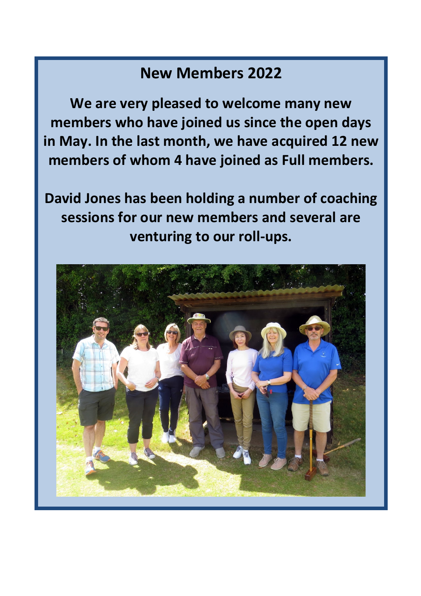# **New Members 2022**

**We are very pleased to welcome many new members who have joined us since the open days in May. In the last month, we have acquired 12 new members of whom 4 have joined as Full members.**

**David Jones has been holding a number of coaching sessions for our new members and several are venturing to our roll-ups.**

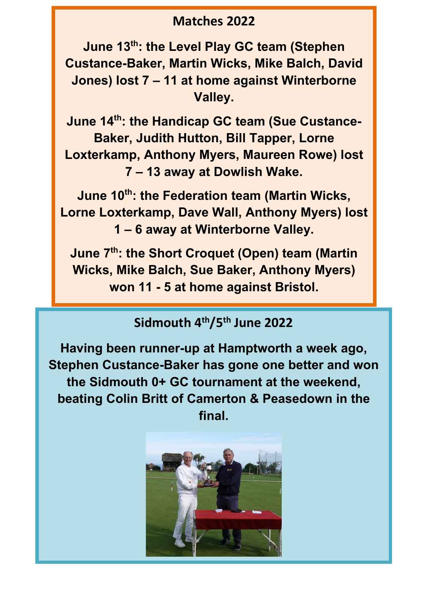#### **Matches 2022**

**June 13th: the Level Play GC team (Stephen Custance-Baker, Martin Wicks, Mike Balch, David Jones) lost 7 – 11 at home against Winterborne Valley.**

**June 14 th: the Handicap GC team (Sue Custance-Baker, Judith Hutton, Bill Tapper, Lorne Loxterkamp, Anthony Myers, Maureen Rowe) lost 7 – 13 away at Dowlish Wake.**

**June 10th: the Federation team (Martin Wicks, Lorne Loxterkamp, Dave Wall, Anthony Myers) lost 1 – 6 away at Winterborne Valley.**

**June 7th: the Short Croquet (Open) team (Martin Wicks, Mike Balch, Sue Baker, Anthony Myers) won 11 - 5 at home against Bristol.**

### **Sidmouth 4th/5th June 2022**

**Having been runner-up at Hamptworth a week ago, Stephen Custance-Baker has gone one better and won the Sidmouth 0+ GC tournament at the weekend, beating Colin Britt of Camerton & Peasedown in the final.** 

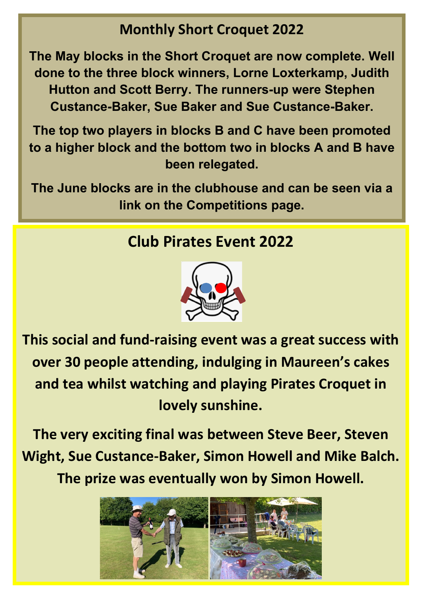## **Monthly Short Croquet 2022**

**The May blocks in the Short Croquet are now complete. Well done to the three block winners, Lorne Loxterkamp, Judith Hutton and Scott Berry. The runners-up were Stephen Custance-Baker, Sue Baker and Sue Custance-Baker.**

**The top two players in blocks B and C have been promoted to a higher block and the bottom two in blocks A and B have been relegated.**

**The June blocks are in the clubhouse and can be seen via a link on the Competitions page.**

# **Club Pirates Event 2022**



**This social and fund-raising event was a great success with over 30 people attending, indulging in Maureen's cakes and tea whilst watching and playing Pirates Croquet in lovely sunshine.**

**The very exciting final was between Steve Beer, Steven Wight, Sue Custance-Baker, Simon Howell and Mike Balch. The prize was eventually won by Simon Howell.**